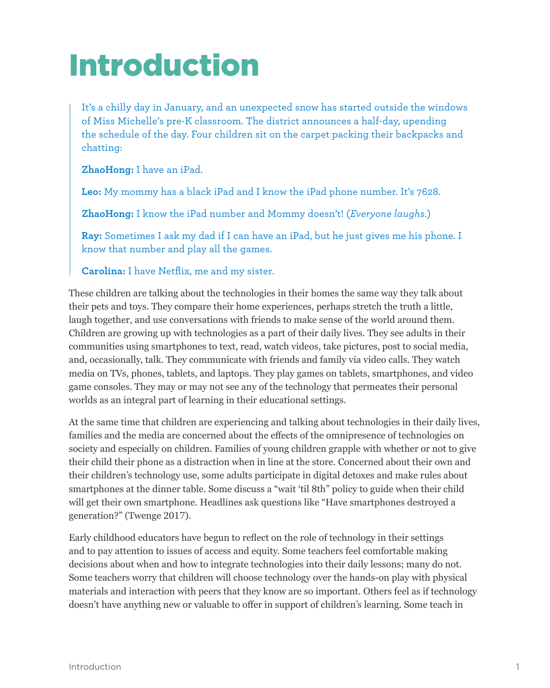# Introduction

It's a chilly day in January, and an unexpected snow has started outside the windows of Miss Michelle's pre-K classroom. The district announces a half-day, upending the schedule of the day. Four children sit on the carpet packing their backpacks and chatting:

**ZhaoHong:** I have an iPad.

**Leo:** My mommy has a black iPad and I know the iPad phone number. It's 7628.

**ZhaoHong:** I know the iPad number and Mommy doesn't! (*Everyone laughs.*)

**Ray:** Sometimes I ask my dad if I can have an iPad, but he just gives me his phone. I know that number and play all the games.

**Carolina:** I have Netflix, me and my sister.

These children are talking about the technologies in their homes the same way they talk about their pets and toys. They compare their home experiences, perhaps stretch the truth a little, laugh together, and use conversations with friends to make sense of the world around them. Children are growing up with technologies as a part of their daily lives. They see adults in their communities using smartphones to text, read, watch videos, take pictures, post to social media, and, occasionally, talk. They communicate with friends and family via video calls. They watch media on TVs, phones, tablets, and laptops. They play games on tablets, smartphones, and video game consoles. They may or may not see any of the technology that permeates their personal worlds as an integral part of learning in their educational settings.

At the same time that children are experiencing and talking about technologies in their daily lives, families and the media are concerned about the effects of the omnipresence of technologies on society and especially on children. Families of young children grapple with whether or not to give their child their phone as a distraction when in line at the store. Concerned about their own and their children's technology use, some adults participate in digital detoxes and make rules about smartphones at the dinner table. Some discuss a "wait 'til 8th" policy to guide when their child will get their own smartphone. Headlines ask questions like "Have smartphones destroyed a generation?" (Twenge 2017).

Early childhood educators have begun to reflect on the role of technology in their settings and to pay attention to issues of access and equity. Some teachers feel comfortable making decisions about when and how to integrate technologies into their daily lessons; many do not. Some teachers worry that children will choose technology over the hands-on play with physical materials and interaction with peers that they know are so important. Others feel as if technology doesn't have anything new or valuable to offer in support of children's learning. Some teach in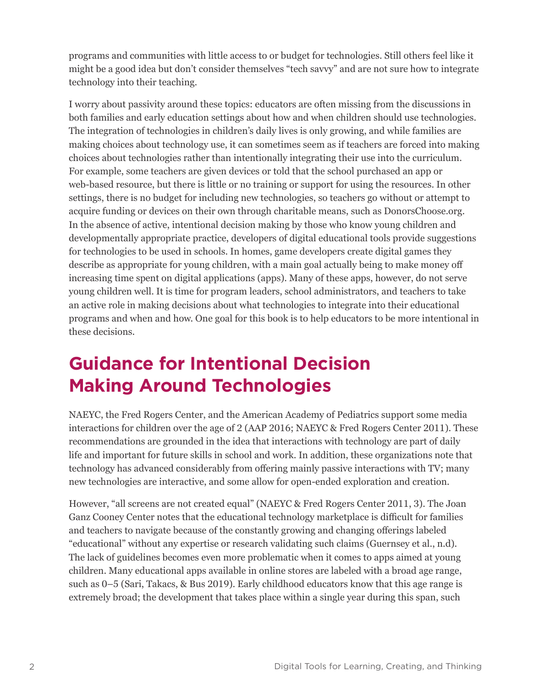programs and communities with little access to or budget for technologies. Still others feel like it might be a good idea but don't consider themselves "tech savvy" and are not sure how to integrate technology into their teaching.

I worry about passivity around these topics: educators are often missing from the discussions in both families and early education settings about how and when children should use technologies. The integration of technologies in children's daily lives is only growing, and while families are making choices about technology use, it can sometimes seem as if teachers are forced into making choices about technologies rather than intentionally integrating their use into the curriculum. For example, some teachers are given devices or told that the school purchased an app or web-based resource, but there is little or no training or support for using the resources. In other settings, there is no budget for including new technologies, so teachers go without or attempt to acquire funding or devices on their own through charitable means, such as DonorsChoose.org. In the absence of active, intentional decision making by those who know young children and developmentally appropriate practice, developers of digital educational tools provide suggestions for technologies to be used in schools. In homes, game developers create digital games they describe as appropriate for young children, with a main goal actually being to make money off increasing time spent on digital applications (apps). Many of these apps, however, do not serve young children well. It is time for program leaders, school administrators, and teachers to take an active role in making decisions about what technologies to integrate into their educational programs and when and how. One goal for this book is to help educators to be more intentional in these decisions.

### **Guidance for Intentional Decision Making Around Technologies**

NAEYC, the Fred Rogers Center, and the American Academy of Pediatrics support some media interactions for children over the age of 2 (AAP 2016; NAEYC & Fred Rogers Center 2011). These recommendations are grounded in the idea that interactions with technology are part of daily life and important for future skills in school and work. In addition, these organizations note that technology has advanced considerably from offering mainly passive interactions with TV; many new technologies are interactive, and some allow for open-ended exploration and creation.

However, "all screens are not created equal" (NAEYC & Fred Rogers Center 2011, 3). The Joan Ganz Cooney Center notes that the educational technology marketplace is difficult for families and teachers to navigate because of the constantly growing and changing offerings labeled "educational" without any expertise or research validating such claims (Guernsey et al., n.d). The lack of guidelines becomes even more problematic when it comes to apps aimed at young children. Many educational apps available in online stores are labeled with a broad age range, such as 0–5 (Sari, Takacs, & Bus 2019). Early childhood educators know that this age range is extremely broad; the development that takes place within a single year during this span, such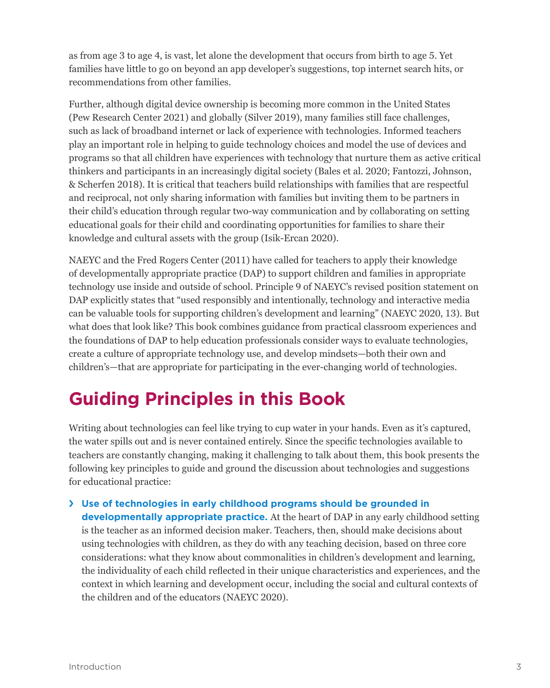as from age 3 to age 4, is vast, let alone the development that occurs from birth to age 5. Yet families have little to go on beyond an app developer's suggestions, top internet search hits, or recommendations from other families.

Further, although digital device ownership is becoming more common in the United States (Pew Research Center 2021) and globally (Silver 2019), many families still face challenges, such as lack of broadband internet or lack of experience with technologies. Informed teachers play an important role in helping to guide technology choices and model the use of devices and programs so that all children have experiences with technology that nurture them as active critical thinkers and participants in an increasingly digital society (Bales et al. 2020; Fantozzi, Johnson, & Scherfen 2018). It is critical that teachers build relationships with families that are respectful and reciprocal, not only sharing information with families but inviting them to be partners in their child's education through regular two-way communication and by collaborating on setting educational goals for their child and coordinating opportunities for families to share their knowledge and cultural assets with the group (Isik-Ercan 2020).

NAEYC and the Fred Rogers Center (2011) have called for teachers to apply their knowledge of developmentally appropriate practice (DAP) to support children and families in appropriate technology use inside and outside of school. Principle 9 of NAEYC's revised position statement on DAP explicitly states that "used responsibly and intentionally, technology and interactive media can be valuable tools for supporting children's development and learning" (NAEYC 2020, 13). But what does that look like? This book combines guidance from practical classroom experiences and the foundations of DAP to help education professionals consider ways to evaluate technologies, create a culture of appropriate technology use, and develop mindsets—both their own and children's—that are appropriate for participating in the ever-changing world of technologies.

## **Guiding Principles in this Book**

Writing about technologies can feel like trying to cup water in your hands. Even as it's captured, the water spills out and is never contained entirely. Since the specific technologies available to teachers are constantly changing, making it challenging to talk about them, this book presents the following key principles to guide and ground the discussion about technologies and suggestions for educational practice:

› **Use of technologies in early childhood programs should be grounded in developmentally appropriate practice.** At the heart of DAP in any early childhood setting is the teacher as an informed decision maker. Teachers, then, should make decisions about using technologies with children, as they do with any teaching decision, based on three core considerations: what they know about commonalities in children's development and learning, the individuality of each child reflected in their unique characteristics and experiences, and the context in which learning and development occur, including the social and cultural contexts of the children and of the educators (NAEYC 2020).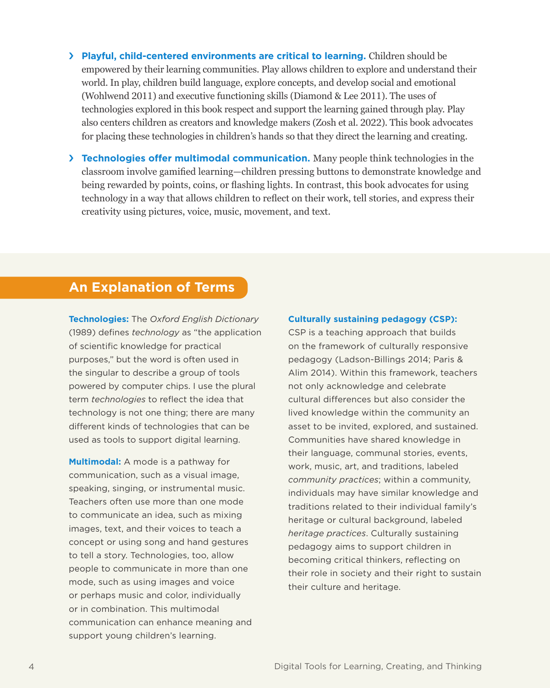› **Playful, child-centered environments are critical to learning.** Children should be empowered by their learning communities. Play allows children to explore and understand their world. In play, children build language, explore concepts, and develop social and emotional (Wohlwend 2011) and executive functioning skills (Diamond & Lee 2011). The uses of technologies explored in this book respect and support the learning gained through play. Play also centers children as creators and knowledge makers (Zosh et al. 2022). This book advocates for placing these technologies in children's hands so that they direct the learning and creating.

› **Technologies offer multimodal communication.** Many people think technologies in the classroom involve gamified learning—children pressing buttons to demonstrate knowledge and being rewarded by points, coins, or flashing lights. In contrast, this book advocates for using technology in a way that allows children to reflect on their work, tell stories, and express their creativity using pictures, voice, music, movement, and text.

#### **An Explanation of Terms**

**Technologies:** The *Oxford English Dictionary* (1989) defines *technology* as "the application of scientific knowledge for practical purposes," but the word is often used in the singular to describe a group of tools powered by computer chips. I use the plural term *technologies* to reflect the idea that technology is not one thing; there are many different kinds of technologies that can be used as tools to support digital learning.

**Multimodal:** A mode is a pathway for communication, such as a visual image, speaking, singing, or instrumental music. Teachers often use more than one mode to communicate an idea, such as mixing images, text, and their voices to teach a concept or using song and hand gestures to tell a story. Technologies, too, allow people to communicate in more than one mode, such as using images and voice or perhaps music and color, individually or in combination. This multimodal communication can enhance meaning and support young children's learning.

#### **Culturally sustaining pedagogy (CSP):**

CSP is a teaching approach that builds on the framework of culturally responsive pedagogy (Ladson-Billings 2014; Paris & Alim 2014). Within this framework, teachers not only acknowledge and celebrate cultural differences but also consider the lived knowledge within the community an asset to be invited, explored, and sustained. Communities have shared knowledge in their language, communal stories, events, work, music, art, and traditions, labeled *community practices*; within a community, individuals may have similar knowledge and traditions related to their individual family's heritage or cultural background, labeled *heritage practices*. Culturally sustaining pedagogy aims to support children in becoming critical thinkers, reflecting on their role in society and their right to sustain their culture and heritage.